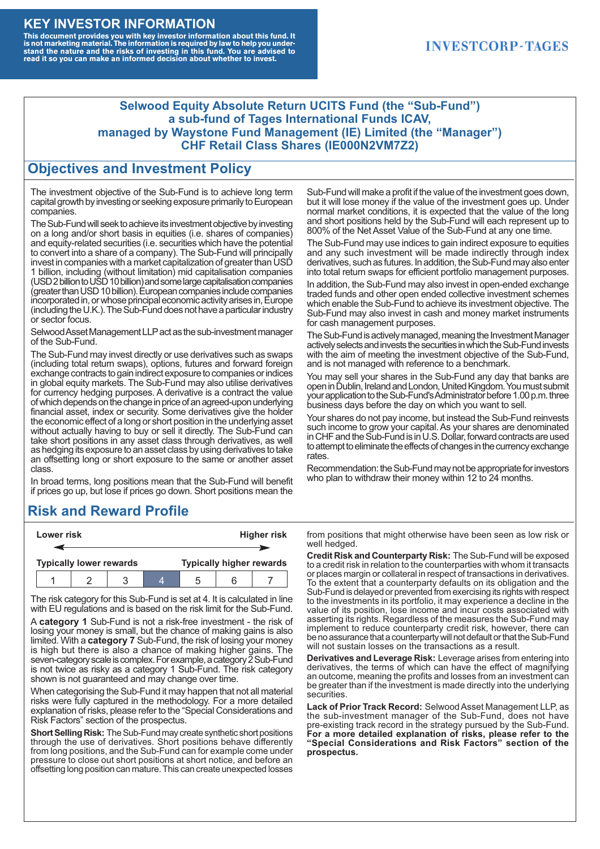#### **KEY INVESTOR INFORMATION**

This document provides you with key investor information about this fund. It<br>is not marketing material. The information is required by law to help you under-<br>stand the nature and the risks of investing in this fund. You ar

#### **INVESTCORP-TAGES**

#### **Selwood Equity Absolute Return UCITS Fund (the "Sub-Fund") a sub-fund of Tages International Funds ICAV, managed by Waystone Fund Management (IE) Limited (the "Manager") CHF Retail Class Shares (IE000N2VM7Z2)**

#### **Objectives and Investment Policy**

The investment objective of the Sub-Fund is to achieve long term capital growth by investing or seeking exposure primarily to European companies.

The Sub-Fund will seek to achieve its investment objective by investing on a long and/or short basis in equities (i.e. shares of companies) and equity-related securities (i.e. securities which have the potential to convert into a share of a company). The Sub-Fund will principally invest in companies with a market capitalization of greater than USD 1 billion, including (without limitation) mid capitalisation companies (USD 2 billion to USD 10 billion) and some large capitalisation companies (greaterthanUSD10billion).European companiesinclude companies incorporated in, or whose principal economic activity arises in, Europe (including the U.K.). The Sub-Fund does not have a particular industry or sector focus.

Selwood Asset Management LLP act as the sub-investment manager of the Sub-Fund.

The Sub-Fund may invest directly or use derivatives such as swaps (including total return swaps), options, futures and forward foreign exchange contracts to gain indirect exposure to companies or indices in global equity markets. The Sub-Fund may also utilise derivatives for currency hedging purposes. A derivative is a contract the value of which depends on the change in price of an agreed-upon underlying financial asset, index or security. Some derivatives give the holder the economic effect of a long or short position in the underlying asset without actually having to buy or sell it directly. The Sub-Fund can take short positions in any asset class through derivatives, as well as hedging its exposure to an asset class by using derivatives to take an offsetting long or short exposure to the same or another asset class.

In broad terms, long positions mean that the Sub-Fund will benefit if prices go up, but lose if prices go down. Short positions mean the

## **Risk and Reward Profile**

|                                | Lower risk |  |  | <b>Higher risk</b>              |  |  |
|--------------------------------|------------|--|--|---------------------------------|--|--|
|                                |            |  |  |                                 |  |  |
| <b>Typically lower rewards</b> |            |  |  | <b>Typically higher rewards</b> |  |  |
|                                |            |  |  | :5                              |  |  |

The risk category for this Sub-Fund is set at 4. It is calculated in line with EU regulations and is based on the risk limit for the Sub-Fund.

A **category 1** Sub-Fund is not a risk-free investment - the risk of losing your money is small, but the chance of making gains is also limited. With a **category 7** Sub-Fund, the risk of losing your money is high but there is also a chance of making higher gains. The seven-category scale is complex. For example, a category 2 Sub-Fund is not twice as risky as a category 1 Sub-Fund. The risk category shown is not guaranteed and may change over time.

When categorising the Sub-Fund it may happen that not all material risks were fully captured in the methodology. For a more detailed explanation of risks, please refer to the "Special Considerations and Risk Factors" section of the prospectus.

**Short Selling Risk:** The Sub-Fund may create synthetic short positions through the use of derivatives. Short positions behave differently from long positions, and the Sub-Fund can for example come under pressure to close out short positions at short notice, and before an offsetting long position can mature. This can create unexpected losses

Sub-Fund will make a profit if the value of the investment goes down, but it will lose money if the value of the investment goes up. Under normal market conditions, it is expected that the value of the long and short positions held by the Sub-Fund will each represent up to 800% of the Net Asset Value of the Sub-Fund at any one time.

The Sub-Fund may use indices to gain indirect exposure to equities and any such investment will be made indirectly through index derivatives, such as futures. In addition, the Sub-Fund may also enter into total return swaps for efficient portfolio management purposes.

In addition, the Sub-Fund may also invest in open-ended exchange traded funds and other open ended collective investment schemes which enable the Sub-Fund to achieve its investment objective. The Sub-Fund may also invest in cash and money market instruments for cash management purposes.

The Sub-Fund is actively managed, meaning the Investment Manager actively selects and invests the securities in which the Sub-Fund invests with the aim of meeting the investment objective of the Sub-Fund, and is not managed with reference to a benchmark.

You may sell your shares in the Sub-Fund any day that banks are open in Dublin, Ireland and London, United Kingdom. You must submit your application to the Sub-Fund's Administrator before 1.00 p.m. three business days before the day on which you want to sell.

Your shares do not pay income, but instead the Sub-Fund reinvests such income to grow your capital. As your shares are denominated in CHF and the Sub-Fund is in U.S. Dollar, forward contracts are used to attempt to eliminate the effects of changes in the currency exchange rates.

Recommendation: the Sub-Fund may not be appropriate for investors who plan to withdraw their money within 12 to 24 months.

from positions that might otherwise have been seen as low risk or well hedged.

**Credit Risk and Counterparty Risk:** The Sub-Fund will be exposed to a credit risk in relation to the counterparties with whom it transacts or places margin or collateral in respect of transactions in derivatives. To the extent that a counterparty defaults on its obligation and the Sub-Fund is delayed or prevented from exercising its rights with respect to the investments in its portfolio, it may experience a decline in the value of its position, lose income and incur costs associated with asserting its rights. Regardless of the measures the Sub-Fund may implement to reduce counterparty credit risk, however, there can be no assurance that a counterparty will not default or that the Sub-Fund will not sustain losses on the transactions as a result.

**Derivatives and Leverage Risk:** Leverage arises from entering into derivatives, the terms of which can have the effect of magnifying an outcome, meaning the profits and losses from an investment can be greater than if the investment is made directly into the underlying **securities**.

**Lack of Prior Track Record:** Selwood Asset Management LLP, as the sub-investment manager of the Sub-Fund, does not have pre-existing track record in the strategy pursued by the Sub-Fund. **For a more detailed explanation of risks, please refer to the "Special Considerations and Risk Factors" section of the prospectus.**